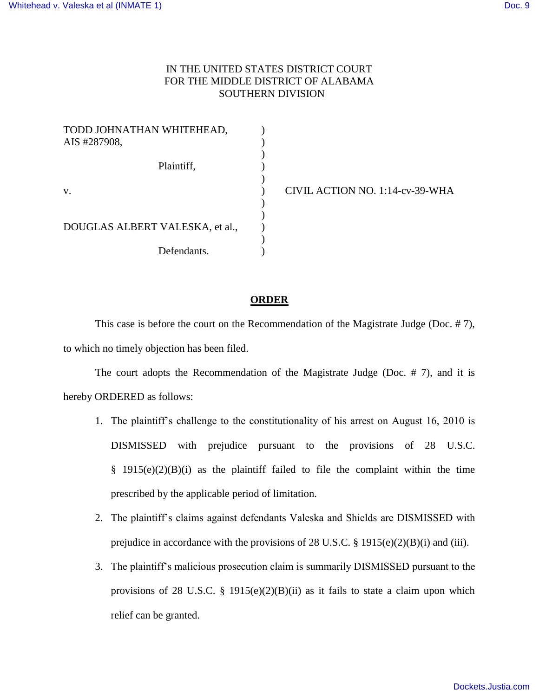## IN THE UNITED STATES DISTRICT COURT FOR THE MIDDLE DISTRICT OF ALABAMA SOUTHERN DIVISION

| TODD JOHNATHAN WHITEHEAD,       |  |
|---------------------------------|--|
| AIS #287908,                    |  |
| Plaintiff,                      |  |
| V.                              |  |
| DOUGLAS ALBERT VALESKA, et al., |  |
| Defendants.                     |  |

) CIVIL ACTION NO. 1:14-cv-39-WHA

## **ORDER**

 This case is before the court on the Recommendation of the Magistrate Judge (Doc. # 7), to which no timely objection has been filed.

 The court adopts the Recommendation of the Magistrate Judge (Doc. # 7), and it is hereby ORDERED as follows:

- 1. The plaintiff's challenge to the constitutionality of his arrest on August 16, 2010 is DISMISSED with prejudice pursuant to the provisions of 28 U.S.C.  $§$  1915(e)(2)(B)(i) as the plaintiff failed to file the complaint within the time prescribed by the applicable period of limitation.
- 2. The plaintiff's claims against defendants Valeska and Shields are DISMISSED with prejudice in accordance with the provisions of 28 U.S.C. § 1915(e)(2)(B)(i) and (iii).
- 3. The plaintiff's malicious prosecution claim is summarily DISMISSED pursuant to the provisions of 28 U.S.C. § 1915(e)(2)(B)(ii) as it fails to state a claim upon which relief can be granted.